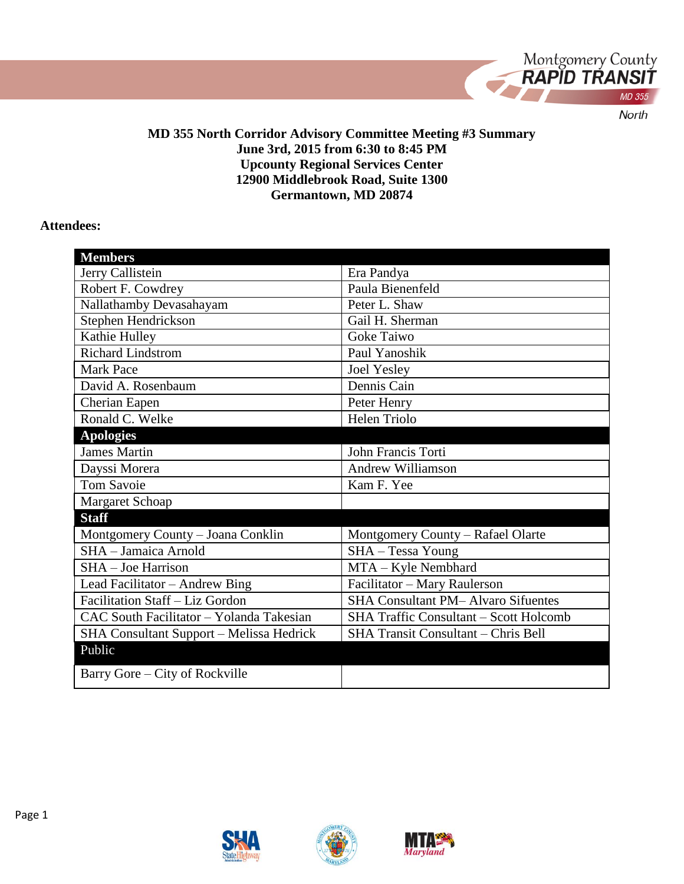

#### **MD 355 North Corridor Advisory Committee Meeting #3 Summary June 3rd, 2015 from 6:30 to 8:45 PM Upcounty Regional Services Center 12900 Middlebrook Road, Suite 1300 Germantown, MD 20874**

#### **Attendees:**

| <b>Members</b>                           |                                               |
|------------------------------------------|-----------------------------------------------|
| Jerry Callistein                         | Era Pandya                                    |
| Robert F. Cowdrey                        | Paula Bienenfeld                              |
| Nallathamby Devasahayam                  | Peter L. Shaw                                 |
| Stephen Hendrickson                      | Gail H. Sherman                               |
| Kathie Hulley                            | <b>Goke Taiwo</b>                             |
| <b>Richard Lindstrom</b>                 | Paul Yanoshik                                 |
| <b>Mark Pace</b>                         | <b>Joel Yesley</b>                            |
| David A. Rosenbaum                       | Dennis Cain                                   |
| Cherian Eapen                            | Peter Henry                                   |
| Ronald C. Welke                          | Helen Triolo                                  |
| <b>Apologies</b>                         |                                               |
| <b>James Martin</b>                      | John Francis Torti                            |
| Dayssi Morera                            | <b>Andrew Williamson</b>                      |
| <b>Tom Savoie</b>                        | Kam F. Yee                                    |
| Margaret Schoap                          |                                               |
| <b>Staff</b>                             |                                               |
| Montgomery County - Joana Conklin        | Montgomery County - Rafael Olarte             |
| SHA - Jamaica Arnold                     | SHA - Tessa Young                             |
| SHA - Joe Harrison                       | MTA - Kyle Nembhard                           |
| Lead Facilitator - Andrew Bing           | Facilitator - Mary Raulerson                  |
| Facilitation Staff - Liz Gordon          | <b>SHA Consultant PM-Alvaro Sifuentes</b>     |
| CAC South Facilitator - Yolanda Takesian | <b>SHA Traffic Consultant - Scott Holcomb</b> |
| SHA Consultant Support - Melissa Hedrick | SHA Transit Consultant - Chris Bell           |
| Public                                   |                                               |
| Barry Gore – City of Rockville           |                                               |
|                                          |                                               |



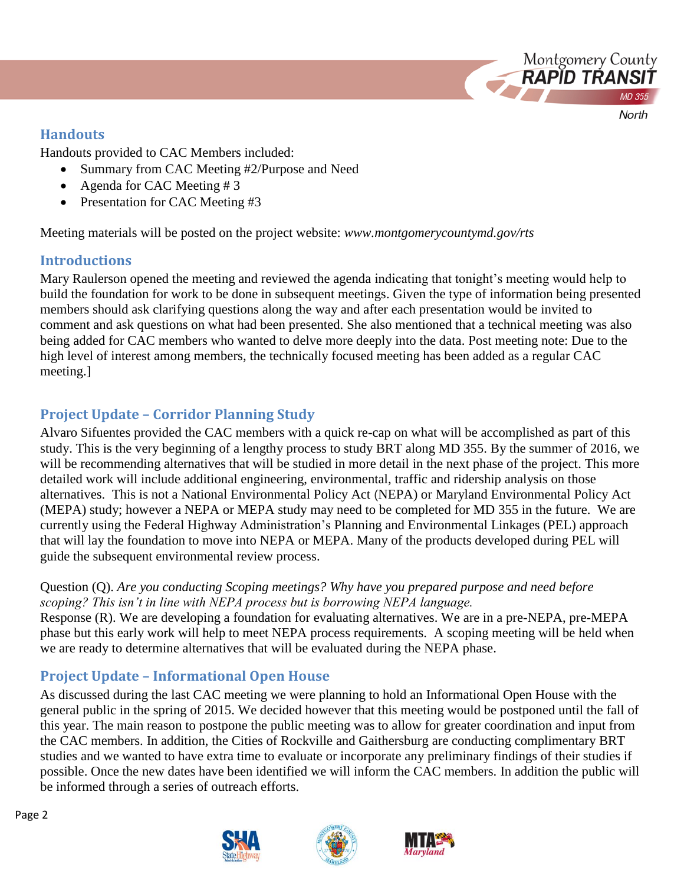

## **Handouts**

Handouts provided to CAC Members included:

- Summary from CAC Meeting #2/Purpose and Need
- Agenda for CAC Meeting # 3
- Presentation for CAC Meeting #3

Meeting materials will be posted on the project website: *www.montgomerycountymd.gov/rts*

# **Introductions**

Mary Raulerson opened the meeting and reviewed the agenda indicating that tonight's meeting would help to build the foundation for work to be done in subsequent meetings. Given the type of information being presented members should ask clarifying questions along the way and after each presentation would be invited to comment and ask questions on what had been presented. She also mentioned that a technical meeting was also being added for CAC members who wanted to delve more deeply into the data. Post meeting note: Due to the high level of interest among members, the technically focused meeting has been added as a regular CAC meeting.]

# **Project Update – Corridor Planning Study**

Alvaro Sifuentes provided the CAC members with a quick re-cap on what will be accomplished as part of this study. This is the very beginning of a lengthy process to study BRT along MD 355. By the summer of 2016, we will be recommending alternatives that will be studied in more detail in the next phase of the project. This more detailed work will include additional engineering, environmental, traffic and ridership analysis on those alternatives. This is not a National Environmental Policy Act (NEPA) or Maryland Environmental Policy Act (MEPA) study; however a NEPA or MEPA study may need to be completed for MD 355 in the future. We are currently using the Federal Highway Administration's Planning and Environmental Linkages (PEL) approach that will lay the foundation to move into NEPA or MEPA. Many of the products developed during PEL will guide the subsequent environmental review process.

## Question (Q). *Are you conducting Scoping meetings? Why have you prepared purpose and need before scoping? This isn't in line with NEPA process but is borrowing NEPA language.*

Response (R). We are developing a foundation for evaluating alternatives. We are in a pre-NEPA, pre-MEPA phase but this early work will help to meet NEPA process requirements. A scoping meeting will be held when we are ready to determine alternatives that will be evaluated during the NEPA phase.

# **Project Update – Informational Open House**

As discussed during the last CAC meeting we were planning to hold an Informational Open House with the general public in the spring of 2015. We decided however that this meeting would be postponed until the fall of this year. The main reason to postpone the public meeting was to allow for greater coordination and input from the CAC members. In addition, the Cities of Rockville and Gaithersburg are conducting complimentary BRT studies and we wanted to have extra time to evaluate or incorporate any preliminary findings of their studies if possible. Once the new dates have been identified we will inform the CAC members. In addition the public will be informed through a series of outreach efforts.





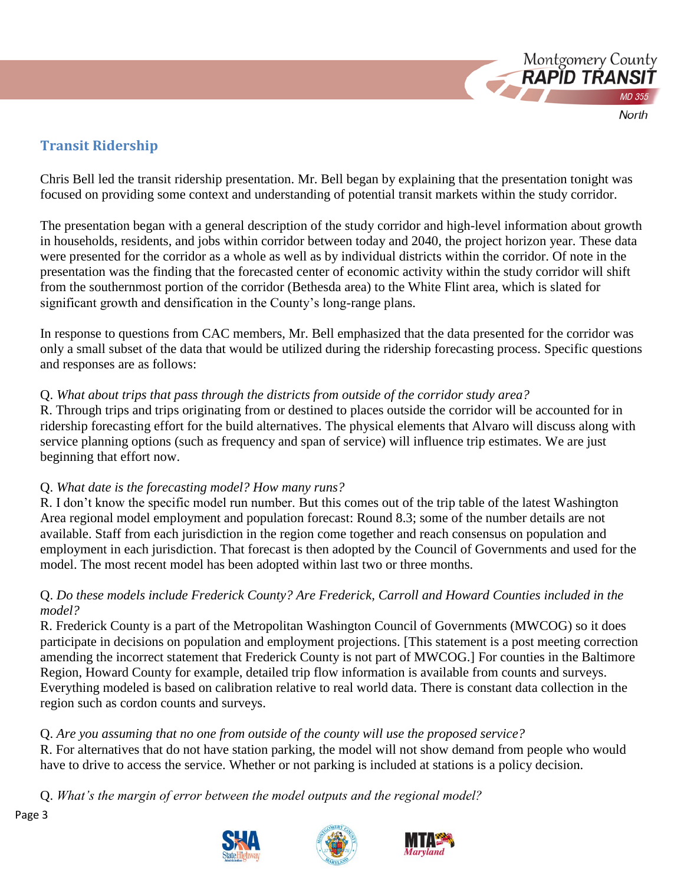

# **Transit Ridership**

Chris Bell led the transit ridership presentation. Mr. Bell began by explaining that the presentation tonight was focused on providing some context and understanding of potential transit markets within the study corridor.

The presentation began with a general description of the study corridor and high-level information about growth in households, residents, and jobs within corridor between today and 2040, the project horizon year. These data were presented for the corridor as a whole as well as by individual districts within the corridor. Of note in the presentation was the finding that the forecasted center of economic activity within the study corridor will shift from the southernmost portion of the corridor (Bethesda area) to the White Flint area, which is slated for significant growth and densification in the County's long-range plans.

In response to questions from CAC members, Mr. Bell emphasized that the data presented for the corridor was only a small subset of the data that would be utilized during the ridership forecasting process. Specific questions and responses are as follows:

## Q. *What about trips that pass through the districts from outside of the corridor study area?*

R. Through trips and trips originating from or destined to places outside the corridor will be accounted for in ridership forecasting effort for the build alternatives. The physical elements that Alvaro will discuss along with service planning options (such as frequency and span of service) will influence trip estimates. We are just beginning that effort now.

## Q. *What date is the forecasting model? How many runs?*

R. I don't know the specific model run number. But this comes out of the trip table of the latest Washington Area regional model employment and population forecast: Round 8.3; some of the number details are not available. Staff from each jurisdiction in the region come together and reach consensus on population and employment in each jurisdiction. That forecast is then adopted by the Council of Governments and used for the model. The most recent model has been adopted within last two or three months.

## Q. *Do these models include Frederick County? Are Frederick, Carroll and Howard Counties included in the model?*

R. Frederick County is a part of the Metropolitan Washington Council of Governments (MWCOG) so it does participate in decisions on population and employment projections. [This statement is a post meeting correction amending the incorrect statement that Frederick County is not part of MWCOG.] For counties in the Baltimore Region, Howard County for example, detailed trip flow information is available from counts and surveys. Everything modeled is based on calibration relative to real world data. There is constant data collection in the region such as cordon counts and surveys.

# Q. *Are you assuming that no one from outside of the county will use the proposed service?*

R. For alternatives that do not have station parking, the model will not show demand from people who would have to drive to access the service. Whether or not parking is included at stations is a policy decision.

Q. *What's the margin of error between the model outputs and the regional model?*





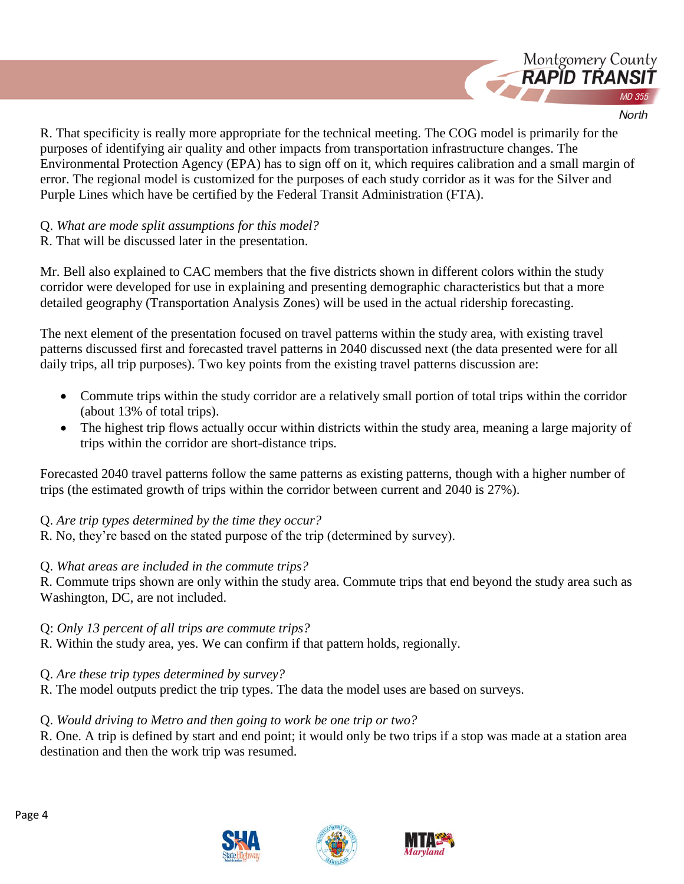

R. That specificity is really more appropriate for the technical meeting. The COG model is primarily for the purposes of identifying air quality and other impacts from transportation infrastructure changes. The Environmental Protection Agency (EPA) has to sign off on it, which requires calibration and a small margin of error. The regional model is customized for the purposes of each study corridor as it was for the Silver and Purple Lines which have be certified by the Federal Transit Administration (FTA).

Q. *What are mode split assumptions for this model?*

R. That will be discussed later in the presentation.

Mr. Bell also explained to CAC members that the five districts shown in different colors within the study corridor were developed for use in explaining and presenting demographic characteristics but that a more detailed geography (Transportation Analysis Zones) will be used in the actual ridership forecasting.

The next element of the presentation focused on travel patterns within the study area, with existing travel patterns discussed first and forecasted travel patterns in 2040 discussed next (the data presented were for all daily trips, all trip purposes). Two key points from the existing travel patterns discussion are:

- Commute trips within the study corridor are a relatively small portion of total trips within the corridor (about 13% of total trips).
- The highest trip flows actually occur within districts within the study area, meaning a large majority of trips within the corridor are short-distance trips.

Forecasted 2040 travel patterns follow the same patterns as existing patterns, though with a higher number of trips (the estimated growth of trips within the corridor between current and 2040 is 27%).

Q. *Are trip types determined by the time they occur?*

R. No, they're based on the stated purpose of the trip (determined by survey).

## Q. *What areas are included in the commute trips?*

R. Commute trips shown are only within the study area. Commute trips that end beyond the study area such as Washington, DC, are not included.

Q: *Only 13 percent of all trips are commute trips?*

R. Within the study area, yes. We can confirm if that pattern holds, regionally.

Q. *Are these trip types determined by survey?*

R. The model outputs predict the trip types. The data the model uses are based on surveys.

## Q. *Would driving to Metro and then going to work be one trip or two?*

R. One. A trip is defined by start and end point; it would only be two trips if a stop was made at a station area destination and then the work trip was resumed.





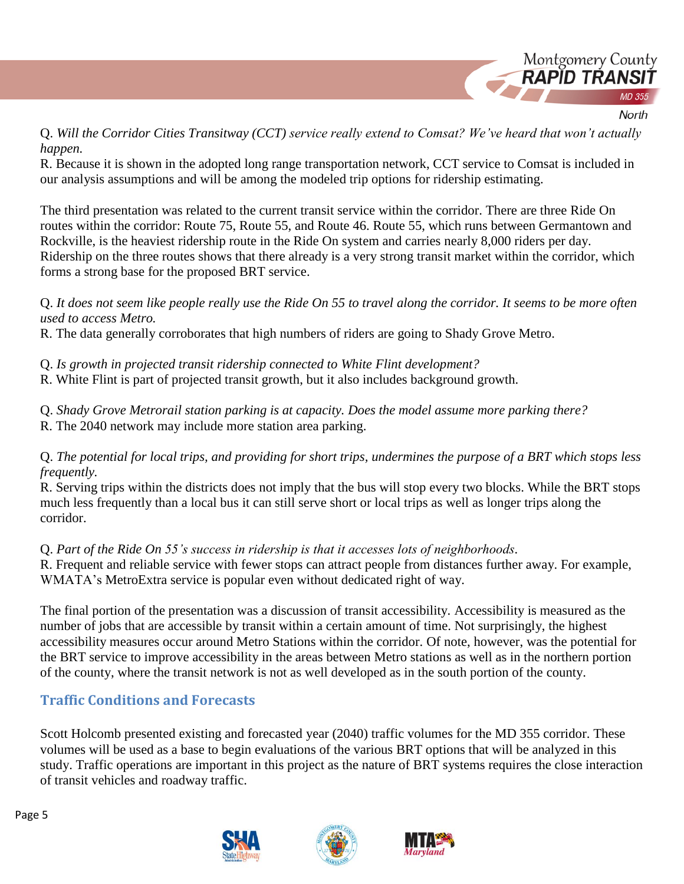

## Q. *Will the Corridor Cities Transitway (CCT) service really extend to Comsat? We've heard that won't actually happen.*

R. Because it is shown in the adopted long range transportation network, CCT service to Comsat is included in our analysis assumptions and will be among the modeled trip options for ridership estimating.

The third presentation was related to the current transit service within the corridor. There are three Ride On routes within the corridor: Route 75, Route 55, and Route 46. Route 55, which runs between Germantown and Rockville, is the heaviest ridership route in the Ride On system and carries nearly 8,000 riders per day. Ridership on the three routes shows that there already is a very strong transit market within the corridor, which forms a strong base for the proposed BRT service.

## Q. *It does not seem like people really use the Ride On 55 to travel along the corridor. It seems to be more often used to access Metro.*

R. The data generally corroborates that high numbers of riders are going to Shady Grove Metro.

Q. *Is growth in projected transit ridership connected to White Flint development?*

R. White Flint is part of projected transit growth, but it also includes background growth.

Q. *Shady Grove Metrorail station parking is at capacity. Does the model assume more parking there?*  R. The 2040 network may include more station area parking.

## Q. *The potential for local trips, and providing for short trips, undermines the purpose of a BRT which stops less frequently.*

R. Serving trips within the districts does not imply that the bus will stop every two blocks. While the BRT stops much less frequently than a local bus it can still serve short or local trips as well as longer trips along the corridor.

## Q. *Part of the Ride On 55's success in ridership is that it accesses lots of neighborhoods.*

R. Frequent and reliable service with fewer stops can attract people from distances further away. For example, WMATA's MetroExtra service is popular even without dedicated right of way.

The final portion of the presentation was a discussion of transit accessibility. Accessibility is measured as the number of jobs that are accessible by transit within a certain amount of time. Not surprisingly, the highest accessibility measures occur around Metro Stations within the corridor. Of note, however, was the potential for the BRT service to improve accessibility in the areas between Metro stations as well as in the northern portion of the county, where the transit network is not as well developed as in the south portion of the county.

# **Traffic Conditions and Forecasts**

Scott Holcomb presented existing and forecasted year (2040) traffic volumes for the MD 355 corridor. These volumes will be used as a base to begin evaluations of the various BRT options that will be analyzed in this study. Traffic operations are important in this project as the nature of BRT systems requires the close interaction of transit vehicles and roadway traffic.





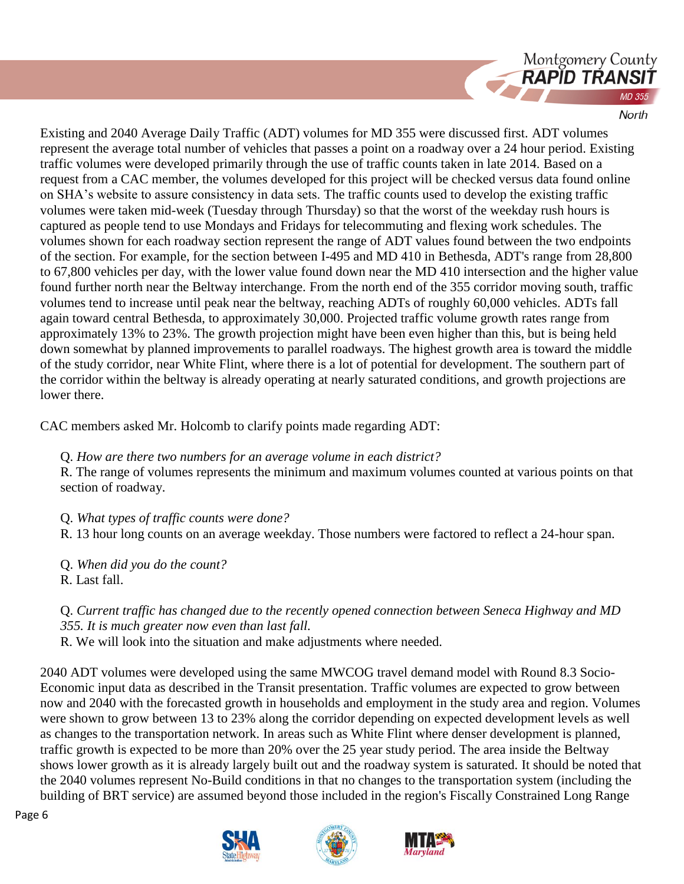

Existing and 2040 Average Daily Traffic (ADT) volumes for MD 355 were discussed first. ADT volumes represent the average total number of vehicles that passes a point on a roadway over a 24 hour period. Existing traffic volumes were developed primarily through the use of traffic counts taken in late 2014. Based on a request from a CAC member, the volumes developed for this project will be checked versus data found online on SHA's website to assure consistency in data sets. The traffic counts used to develop the existing traffic volumes were taken mid-week (Tuesday through Thursday) so that the worst of the weekday rush hours is captured as people tend to use Mondays and Fridays for telecommuting and flexing work schedules. The volumes shown for each roadway section represent the range of ADT values found between the two endpoints of the section. For example, for the section between I-495 and MD 410 in Bethesda, ADT's range from 28,800 to 67,800 vehicles per day, with the lower value found down near the MD 410 intersection and the higher value found further north near the Beltway interchange. From the north end of the 355 corridor moving south, traffic volumes tend to increase until peak near the beltway, reaching ADTs of roughly 60,000 vehicles. ADTs fall again toward central Bethesda, to approximately 30,000. Projected traffic volume growth rates range from approximately 13% to 23%. The growth projection might have been even higher than this, but is being held down somewhat by planned improvements to parallel roadways. The highest growth area is toward the middle of the study corridor, near White Flint, where there is a lot of potential for development. The southern part of the corridor within the beltway is already operating at nearly saturated conditions, and growth projections are lower there.

CAC members asked Mr. Holcomb to clarify points made regarding ADT:

Q. *How are there two numbers for an average volume in each district?*

R. The range of volumes represents the minimum and maximum volumes counted at various points on that section of roadway.

Q. *What types of traffic counts were done?*

R. 13 hour long counts on an average weekday. Those numbers were factored to reflect a 24-hour span.

Q. *When did you do the count?* R. Last fall.

Q. *Current traffic has changed due to the recently opened connection between Seneca Highway and MD 355. It is much greater now even than last fall.*

R. We will look into the situation and make adjustments where needed.

2040 ADT volumes were developed using the same MWCOG travel demand model with Round 8.3 Socio-Economic input data as described in the Transit presentation. Traffic volumes are expected to grow between now and 2040 with the forecasted growth in households and employment in the study area and region. Volumes were shown to grow between 13 to 23% along the corridor depending on expected development levels as well as changes to the transportation network. In areas such as White Flint where denser development is planned, traffic growth is expected to be more than 20% over the 25 year study period. The area inside the Beltway shows lower growth as it is already largely built out and the roadway system is saturated. It should be noted that the 2040 volumes represent No-Build conditions in that no changes to the transportation system (including the building of BRT service) are assumed beyond those included in the region's Fiscally Constrained Long Range





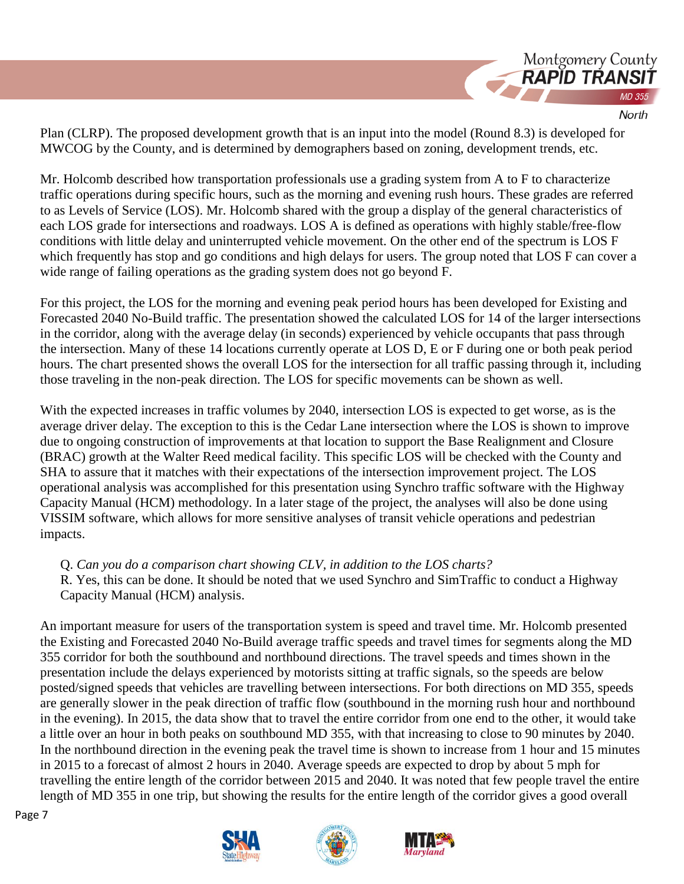

Plan (CLRP). The proposed development growth that is an input into the model (Round 8.3) is developed for MWCOG by the County, and is determined by demographers based on zoning, development trends, etc.

Mr. Holcomb described how transportation professionals use a grading system from A to F to characterize traffic operations during specific hours, such as the morning and evening rush hours. These grades are referred to as Levels of Service (LOS). Mr. Holcomb shared with the group a display of the general characteristics of each LOS grade for intersections and roadways. LOS A is defined as operations with highly stable/free-flow conditions with little delay and uninterrupted vehicle movement. On the other end of the spectrum is LOS F which frequently has stop and go conditions and high delays for users. The group noted that LOS F can cover a wide range of failing operations as the grading system does not go beyond F.

For this project, the LOS for the morning and evening peak period hours has been developed for Existing and Forecasted 2040 No-Build traffic. The presentation showed the calculated LOS for 14 of the larger intersections in the corridor, along with the average delay (in seconds) experienced by vehicle occupants that pass through the intersection. Many of these 14 locations currently operate at LOS D, E or F during one or both peak period hours. The chart presented shows the overall LOS for the intersection for all traffic passing through it, including those traveling in the non-peak direction. The LOS for specific movements can be shown as well.

With the expected increases in traffic volumes by 2040, intersection LOS is expected to get worse, as is the average driver delay. The exception to this is the Cedar Lane intersection where the LOS is shown to improve due to ongoing construction of improvements at that location to support the Base Realignment and Closure (BRAC) growth at the Walter Reed medical facility. This specific LOS will be checked with the County and SHA to assure that it matches with their expectations of the intersection improvement project. The LOS operational analysis was accomplished for this presentation using Synchro traffic software with the Highway Capacity Manual (HCM) methodology. In a later stage of the project, the analyses will also be done using VISSIM software, which allows for more sensitive analyses of transit vehicle operations and pedestrian impacts.

Q. *Can you do a comparison chart showing CLV, in addition to the LOS charts?*

R. Yes, this can be done. It should be noted that we used Synchro and SimTraffic to conduct a Highway Capacity Manual (HCM) analysis.

An important measure for users of the transportation system is speed and travel time. Mr. Holcomb presented the Existing and Forecasted 2040 No-Build average traffic speeds and travel times for segments along the MD 355 corridor for both the southbound and northbound directions. The travel speeds and times shown in the presentation include the delays experienced by motorists sitting at traffic signals, so the speeds are below posted/signed speeds that vehicles are travelling between intersections. For both directions on MD 355, speeds are generally slower in the peak direction of traffic flow (southbound in the morning rush hour and northbound in the evening). In 2015, the data show that to travel the entire corridor from one end to the other, it would take a little over an hour in both peaks on southbound MD 355, with that increasing to close to 90 minutes by 2040. In the northbound direction in the evening peak the travel time is shown to increase from 1 hour and 15 minutes in 2015 to a forecast of almost 2 hours in 2040. Average speeds are expected to drop by about 5 mph for travelling the entire length of the corridor between 2015 and 2040. It was noted that few people travel the entire length of MD 355 in one trip, but showing the results for the entire length of the corridor gives a good overall





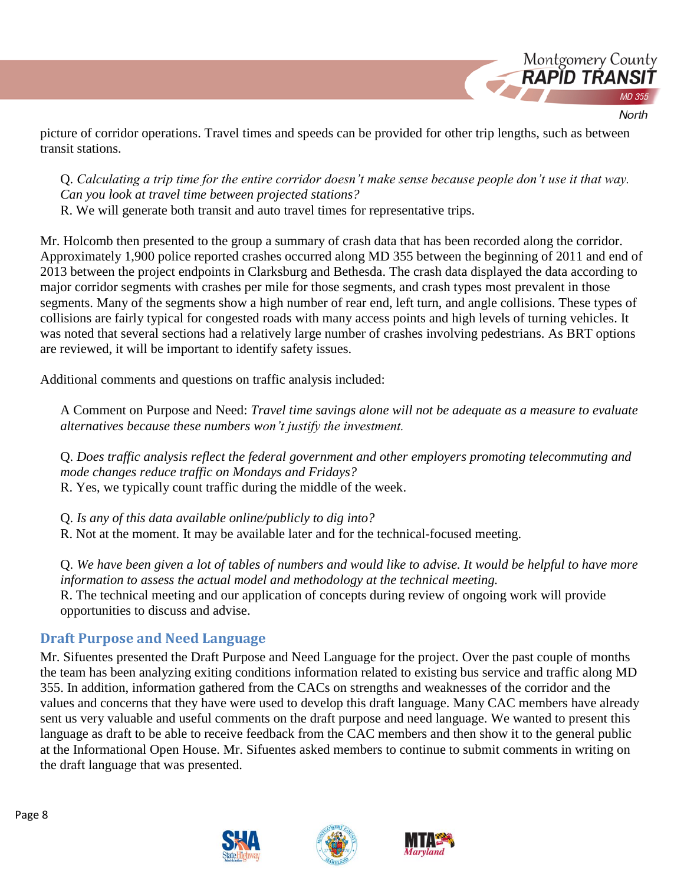

picture of corridor operations. Travel times and speeds can be provided for other trip lengths, such as between transit stations.

Q. *Calculating a trip time for the entire corridor doesn't make sense because people don't use it that way. Can you look at travel time between projected stations?*

R. We will generate both transit and auto travel times for representative trips.

Mr. Holcomb then presented to the group a summary of crash data that has been recorded along the corridor. Approximately 1,900 police reported crashes occurred along MD 355 between the beginning of 2011 and end of 2013 between the project endpoints in Clarksburg and Bethesda. The crash data displayed the data according to major corridor segments with crashes per mile for those segments, and crash types most prevalent in those segments. Many of the segments show a high number of rear end, left turn, and angle collisions. These types of collisions are fairly typical for congested roads with many access points and high levels of turning vehicles. It was noted that several sections had a relatively large number of crashes involving pedestrians. As BRT options are reviewed, it will be important to identify safety issues.

Additional comments and questions on traffic analysis included:

A Comment on Purpose and Need: *Travel time savings alone will not be adequate as a measure to evaluate alternatives because these numbers won't justify the investment.*

Q. *Does traffic analysis reflect the federal government and other employers promoting telecommuting and mode changes reduce traffic on Mondays and Fridays?* R. Yes, we typically count traffic during the middle of the week.

Q. *Is any of this data available online/publicly to dig into?*

R. Not at the moment. It may be available later and for the technical-focused meeting.

Q. *We have been given a lot of tables of numbers and would like to advise. It would be helpful to have more information to assess the actual model and methodology at the technical meeting.* R. The technical meeting and our application of concepts during review of ongoing work will provide opportunities to discuss and advise.

# **Draft Purpose and Need Language**

Mr. Sifuentes presented the Draft Purpose and Need Language for the project. Over the past couple of months the team has been analyzing exiting conditions information related to existing bus service and traffic along MD 355. In addition, information gathered from the CACs on strengths and weaknesses of the corridor and the values and concerns that they have were used to develop this draft language. Many CAC members have already sent us very valuable and useful comments on the draft purpose and need language. We wanted to present this language as draft to be able to receive feedback from the CAC members and then show it to the general public at the Informational Open House. Mr. Sifuentes asked members to continue to submit comments in writing on the draft language that was presented.







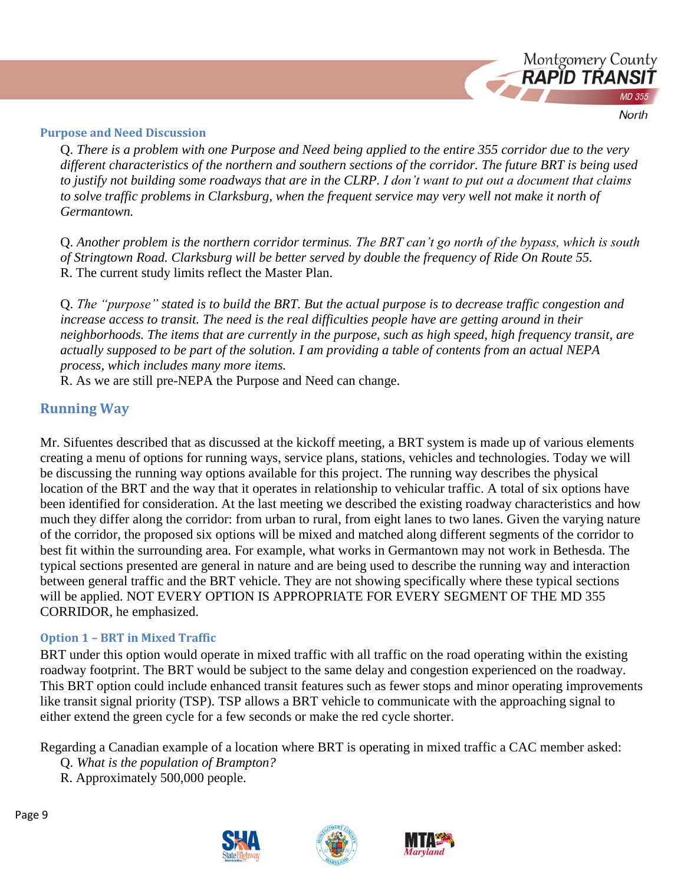

#### **Purpose and Need Discussion**

Q. *There is a problem with one Purpose and Need being applied to the entire 355 corridor due to the very different characteristics of the northern and southern sections of the corridor. The future BRT is being used to justify not building some roadways that are in the CLRP. I don't want to put out a document that claims to solve traffic problems in Clarksburg, when the frequent service may very well not make it north of Germantown.*

Q. *Another problem is the northern corridor terminus. The BRT can't go north of the bypass, which is south of Stringtown Road. Clarksburg will be better served by double the frequency of Ride On Route 55.*  R. The current study limits reflect the Master Plan.

Q. *The "purpose" stated is to build the BRT. But the actual purpose is to decrease traffic congestion and increase access to transit. The need is the real difficulties people have are getting around in their neighborhoods. The items that are currently in the purpose, such as high speed, high frequency transit, are actually supposed to be part of the solution. I am providing a table of contents from an actual NEPA process, which includes many more items.*

R. As we are still pre-NEPA the Purpose and Need can change.

## **Running Way**

Mr. Sifuentes described that as discussed at the kickoff meeting, a BRT system is made up of various elements creating a menu of options for running ways, service plans, stations, vehicles and technologies. Today we will be discussing the running way options available for this project. The running way describes the physical location of the BRT and the way that it operates in relationship to vehicular traffic. A total of six options have been identified for consideration. At the last meeting we described the existing roadway characteristics and how much they differ along the corridor: from urban to rural, from eight lanes to two lanes. Given the varying nature of the corridor, the proposed six options will be mixed and matched along different segments of the corridor to best fit within the surrounding area. For example, what works in Germantown may not work in Bethesda. The typical sections presented are general in nature and are being used to describe the running way and interaction between general traffic and the BRT vehicle. They are not showing specifically where these typical sections will be applied. NOT EVERY OPTION IS APPROPRIATE FOR EVERY SEGMENT OF THE MD 355 CORRIDOR, he emphasized.

#### **Option 1 – BRT in Mixed Traffic**

BRT under this option would operate in mixed traffic with all traffic on the road operating within the existing roadway footprint. The BRT would be subject to the same delay and congestion experienced on the roadway. This BRT option could include enhanced transit features such as fewer stops and minor operating improvements like transit signal priority (TSP). TSP allows a BRT vehicle to communicate with the approaching signal to either extend the green cycle for a few seconds or make the red cycle shorter.

Regarding a Canadian example of a location where BRT is operating in mixed traffic a CAC member asked:

- Q. *What is the population of Brampton?*
- R. Approximately 500,000 people.



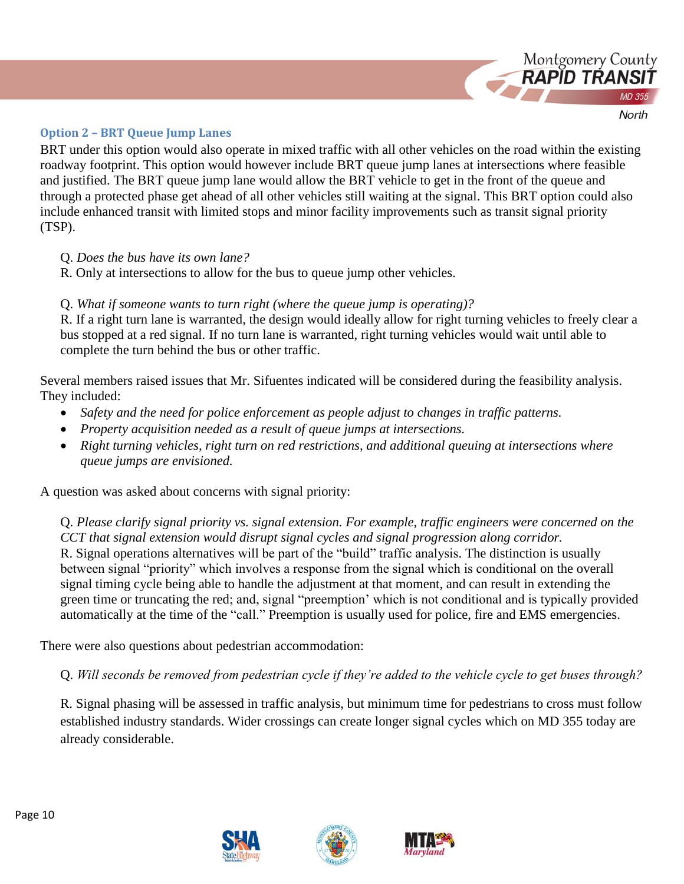

**Option 2 – BRT Queue Jump Lanes**

BRT under this option would also operate in mixed traffic with all other vehicles on the road within the existing roadway footprint. This option would however include BRT queue jump lanes at intersections where feasible and justified. The BRT queue jump lane would allow the BRT vehicle to get in the front of the queue and through a protected phase get ahead of all other vehicles still waiting at the signal. This BRT option could also include enhanced transit with limited stops and minor facility improvements such as transit signal priority (TSP).

- Q. *Does the bus have its own lane?*
- R. Only at intersections to allow for the bus to queue jump other vehicles.

## Q. *What if someone wants to turn right (where the queue jump is operating)?*

R. If a right turn lane is warranted, the design would ideally allow for right turning vehicles to freely clear a bus stopped at a red signal. If no turn lane is warranted, right turning vehicles would wait until able to complete the turn behind the bus or other traffic.

Several members raised issues that Mr. Sifuentes indicated will be considered during the feasibility analysis. They included:

- *Safety and the need for police enforcement as people adjust to changes in traffic patterns.*
- *Property acquisition needed as a result of queue jumps at intersections.*
- *Right turning vehicles, right turn on red restrictions, and additional queuing at intersections where queue jumps are envisioned.*

A question was asked about concerns with signal priority:

Q. *Please clarify signal priority vs. signal extension. For example, traffic engineers were concerned on the CCT that signal extension would disrupt signal cycles and signal progression along corridor.*  R. Signal operations alternatives will be part of the "build" traffic analysis. The distinction is usually between signal "priority" which involves a response from the signal which is conditional on the overall signal timing cycle being able to handle the adjustment at that moment, and can result in extending the green time or truncating the red; and, signal "preemption' which is not conditional and is typically provided automatically at the time of the "call." Preemption is usually used for police, fire and EMS emergencies.

There were also questions about pedestrian accommodation:

Q. *Will seconds be removed from pedestrian cycle if they're added to the vehicle cycle to get buses through?*

R. Signal phasing will be assessed in traffic analysis, but minimum time for pedestrians to cross must follow established industry standards. Wider crossings can create longer signal cycles which on MD 355 today are already considerable.





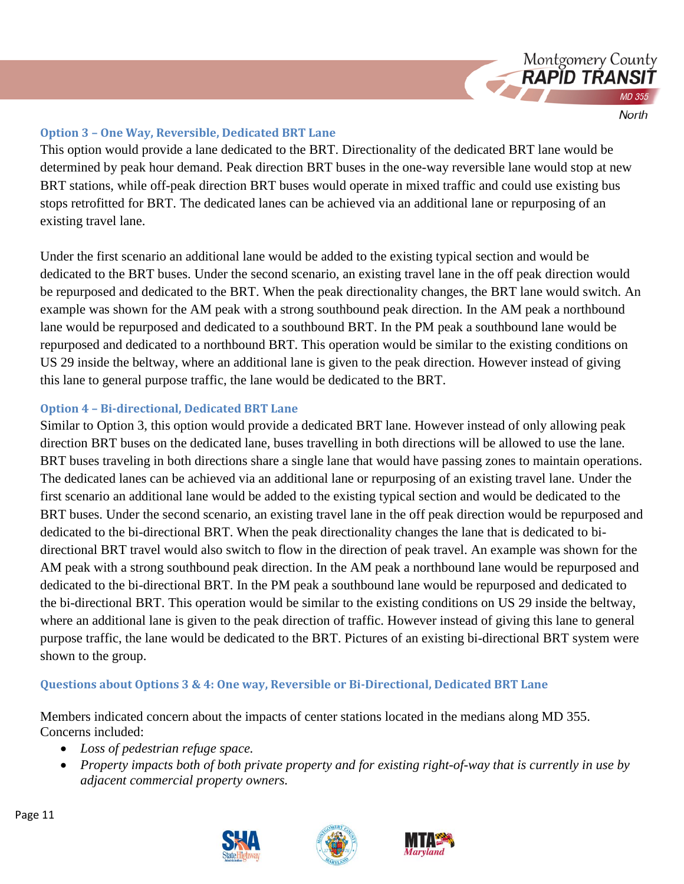

#### **Option 3 – One Way, Reversible, Dedicated BRT Lane**

This option would provide a lane dedicated to the BRT. Directionality of the dedicated BRT lane would be determined by peak hour demand. Peak direction BRT buses in the one-way reversible lane would stop at new BRT stations, while off-peak direction BRT buses would operate in mixed traffic and could use existing bus stops retrofitted for BRT. The dedicated lanes can be achieved via an additional lane or repurposing of an existing travel lane.

Under the first scenario an additional lane would be added to the existing typical section and would be dedicated to the BRT buses. Under the second scenario, an existing travel lane in the off peak direction would be repurposed and dedicated to the BRT. When the peak directionality changes, the BRT lane would switch. An example was shown for the AM peak with a strong southbound peak direction. In the AM peak a northbound lane would be repurposed and dedicated to a southbound BRT. In the PM peak a southbound lane would be repurposed and dedicated to a northbound BRT. This operation would be similar to the existing conditions on US 29 inside the beltway, where an additional lane is given to the peak direction. However instead of giving this lane to general purpose traffic, the lane would be dedicated to the BRT.

## **Option 4 – Bi-directional, Dedicated BRT Lane**

Similar to Option 3, this option would provide a dedicated BRT lane. However instead of only allowing peak direction BRT buses on the dedicated lane, buses travelling in both directions will be allowed to use the lane. BRT buses traveling in both directions share a single lane that would have passing zones to maintain operations. The dedicated lanes can be achieved via an additional lane or repurposing of an existing travel lane. Under the first scenario an additional lane would be added to the existing typical section and would be dedicated to the BRT buses. Under the second scenario, an existing travel lane in the off peak direction would be repurposed and dedicated to the bi-directional BRT. When the peak directionality changes the lane that is dedicated to bidirectional BRT travel would also switch to flow in the direction of peak travel. An example was shown for the AM peak with a strong southbound peak direction. In the AM peak a northbound lane would be repurposed and dedicated to the bi-directional BRT. In the PM peak a southbound lane would be repurposed and dedicated to the bi-directional BRT. This operation would be similar to the existing conditions on US 29 inside the beltway, where an additional lane is given to the peak direction of traffic. However instead of giving this lane to general purpose traffic, the lane would be dedicated to the BRT. Pictures of an existing bi-directional BRT system were shown to the group.

## **Questions about Options 3 & 4: One way, Reversible or Bi-Directional, Dedicated BRT Lane**

Members indicated concern about the impacts of center stations located in the medians along MD 355. Concerns included:

- *Loss of pedestrian refuge space.*
- *Property impacts both of both private property and for existing right-of-way that is currently in use by adjacent commercial property owners.*







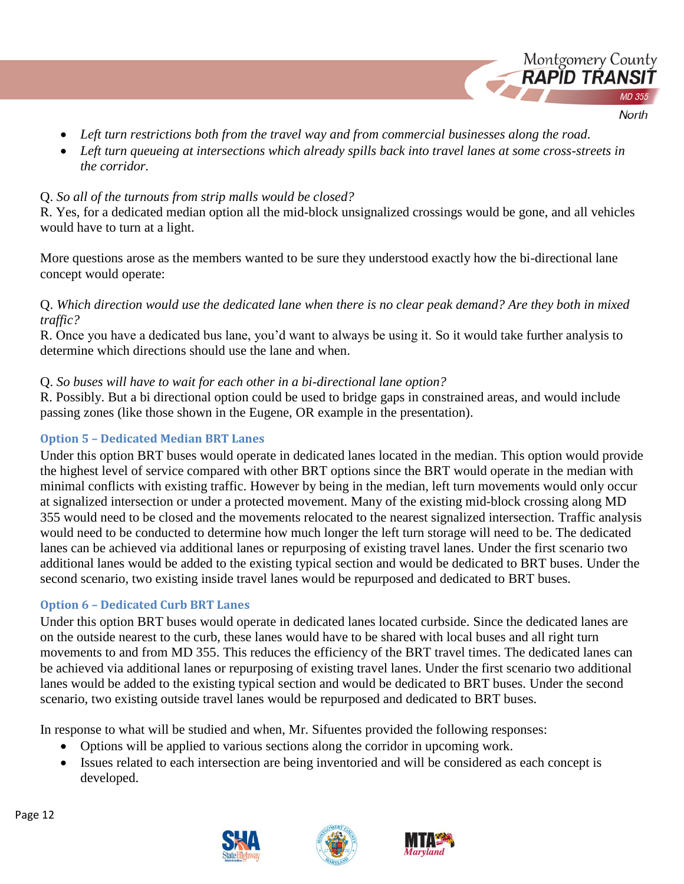- Montgomery County **RAPID TRANS** North
- *Left turn restrictions both from the travel way and from commercial businesses along the road.*
- *Left turn queueing at intersections which already spills back into travel lanes at some cross-streets in the corridor.*

## Q. *So all of the turnouts from strip malls would be closed?*

R. Yes, for a dedicated median option all the mid-block unsignalized crossings would be gone, and all vehicles would have to turn at a light.

More questions arose as the members wanted to be sure they understood exactly how the bi-directional lane concept would operate:

## Q. *Which direction would use the dedicated lane when there is no clear peak demand? Are they both in mixed traffic?*

R. Once you have a dedicated bus lane, you'd want to always be using it. So it would take further analysis to determine which directions should use the lane and when.

# Q. *So buses will have to wait for each other in a bi-directional lane option?*

R. Possibly. But a bi directional option could be used to bridge gaps in constrained areas, and would include passing zones (like those shown in the Eugene, OR example in the presentation).

# **Option 5 – Dedicated Median BRT Lanes**

Under this option BRT buses would operate in dedicated lanes located in the median. This option would provide the highest level of service compared with other BRT options since the BRT would operate in the median with minimal conflicts with existing traffic. However by being in the median, left turn movements would only occur at signalized intersection or under a protected movement. Many of the existing mid-block crossing along MD 355 would need to be closed and the movements relocated to the nearest signalized intersection. Traffic analysis would need to be conducted to determine how much longer the left turn storage will need to be. The dedicated lanes can be achieved via additional lanes or repurposing of existing travel lanes. Under the first scenario two additional lanes would be added to the existing typical section and would be dedicated to BRT buses. Under the second scenario, two existing inside travel lanes would be repurposed and dedicated to BRT buses.

# **Option 6 – Dedicated Curb BRT Lanes**

Under this option BRT buses would operate in dedicated lanes located curbside. Since the dedicated lanes are on the outside nearest to the curb, these lanes would have to be shared with local buses and all right turn movements to and from MD 355. This reduces the efficiency of the BRT travel times. The dedicated lanes can be achieved via additional lanes or repurposing of existing travel lanes. Under the first scenario two additional lanes would be added to the existing typical section and would be dedicated to BRT buses. Under the second scenario, two existing outside travel lanes would be repurposed and dedicated to BRT buses.

In response to what will be studied and when, Mr. Sifuentes provided the following responses:

- Options will be applied to various sections along the corridor in upcoming work.
- Issues related to each intersection are being inventoried and will be considered as each concept is developed.